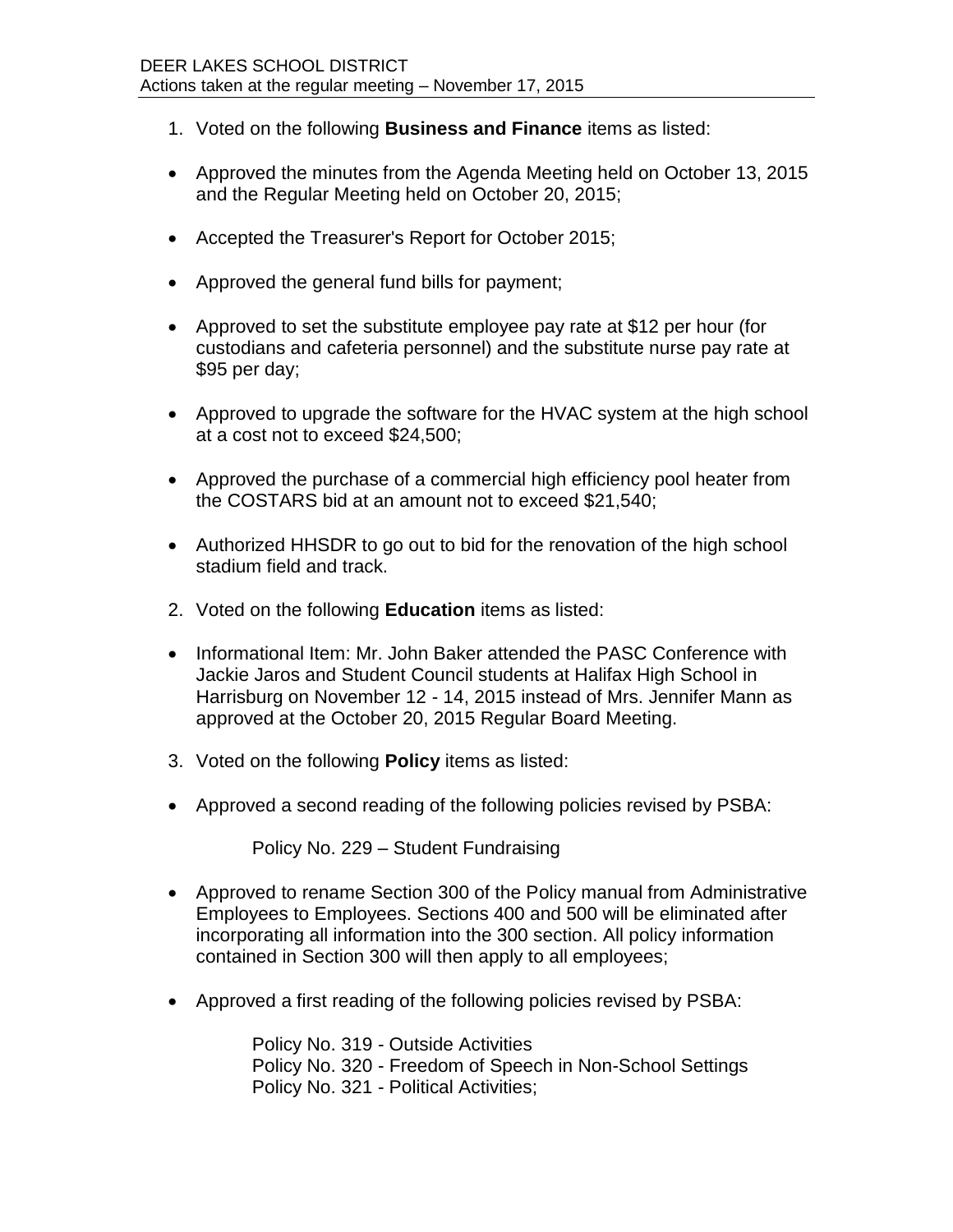- 1. Voted on the following **Business and Finance** items as listed:
- Approved the minutes from the Agenda Meeting held on October 13, 2015 and the Regular Meeting held on October 20, 2015;
- Accepted the Treasurer's Report for October 2015;
- Approved the general fund bills for payment;
- Approved to set the substitute employee pay rate at \$12 per hour (for custodians and cafeteria personnel) and the substitute nurse pay rate at \$95 per day;
- Approved to upgrade the software for the HVAC system at the high school at a cost not to exceed \$24,500;
- Approved the purchase of a commercial high efficiency pool heater from the COSTARS bid at an amount not to exceed \$21,540;
- Authorized HHSDR to go out to bid for the renovation of the high school stadium field and track.
- 2. Voted on the following **Education** items as listed:
- Informational Item: Mr. John Baker attended the PASC Conference with Jackie Jaros and Student Council students at Halifax High School in Harrisburg on November 12 - 14, 2015 instead of Mrs. Jennifer Mann as approved at the October 20, 2015 Regular Board Meeting.
- 3. Voted on the following **Policy** items as listed:
- Approved a second reading of the following policies revised by PSBA:

Policy No. 229 – Student Fundraising

- Approved to rename Section 300 of the Policy manual from Administrative Employees to Employees. Sections 400 and 500 will be eliminated after incorporating all information into the 300 section. All policy information contained in Section 300 will then apply to all employees;
- Approved a first reading of the following policies revised by PSBA:

Policy No. 319 - Outside Activities Policy No. 320 - Freedom of Speech in Non-School Settings Policy No. 321 - Political Activities;